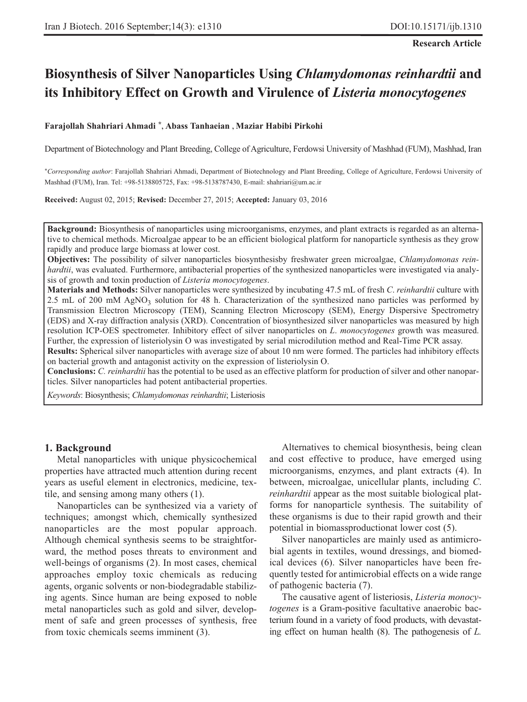#### **Research Article**

# **Biosynthesis of Silver Nanoparticles Using** *Chlamydomonas reinhardtii* **and its Inhibitory Effect on Growth and Virulence of** *Listeria monocytogenes*

#### **Farajollah Shahriari Ahmadi \*, Abass Tanhaeian , Maziar Habibi Pirkohi**

Department of Biotechnology and Plant Breeding, College of Agriculture, Ferdowsi University of Mashhad (FUM), Mashhad, Iran

\**Corresponding author*: Farajollah Shahriari Ahmadi, Department of Biotechnology and Plant Breeding, College of Agriculture, Ferdowsi University of Mashhad (FUM), Iran. Tel: +98-5138805725, Fax: +98-5138787430, E-mail: shahriari@um.ac.ir

**Received:** August 02, 2015; **Revised:** December 27, 2015; **Accepted:** January 03, 2016

**Background:** Biosynthesis of nanoparticles using microorganisms, enzymes, and plant extracts is regarded as an alternative to chemical methods. Microalgae appear to be an efficient biological platform for nanoparticle synthesis as they grow rapidly and produce large biomass at lower cost.

**Objectives:** The possibility of silver nanoparticles biosynthesisby freshwater green microalgae, *Chlamydomonas reinhardtii*, was evaluated. Furthermore, antibacterial properties of the synthesized nanoparticles were investigated via analysis of growth and toxin production of *Listeria monocytogenes*.

**Materials and Methods:** Silver nanoparticles were synthesized by incubating 47.5 mL of fresh *C*. *reinhardtii* culture with 2.5 mL of 200 mM AgNO<sub>3</sub> solution for 48 h. Characterization of the synthesized nano particles was performed by Transmission Electron Microscopy (TEM), Scanning Electron Microscopy (SEM), Energy Dispersive Spectrometry (EDS) and X-ray diffraction analysis (XRD). Concentration of biosynthesized silver nanoparticles was measured by high resolution ICP-OES spectrometer. Inhibitory effect of silver nanoparticles on *L*. *monocytogenes* growth was measured. Further, the expression of listeriolysin O was investigated by serial microdilution method and Real-Time PCR assay.

**Results:** Spherical silver nanoparticles with average size of about 10 nm were formed. The particles had inhibitory effects on bacterial growth and antagonist activity on the expression of listeriolysin O.

**Conclusions:** *C. reinhardtii* has the potential to be used as an effective platform for production of silver and other nanoparticles. Silver nanoparticles had potent antibacterial properties.

*Keywords*: Biosynthesis; *Chlamydomonas reinhardtii*; Listeriosis

### **1. Background**

Metal nanoparticles with unique physicochemical properties have attracted much attention during recent years as useful element in electronics, medicine, textile, and sensing among many others (1).

Nanoparticles can be synthesized via a variety of techniques; amongst which, chemically synthesized nanoparticles are the most popular approach. Although chemical synthesis seems to be straightforward, the method poses threats to environment and well-beings of organisms (2). In most cases, chemical approaches employ toxic chemicals as reducing agents, organic solvents or non-biodegradable stabilizing agents. Since human are being exposed to noble metal nanoparticles such as gold and silver, development of safe and green processes of synthesis, free from toxic chemicals seems imminent (3).

Alternatives to chemical biosynthesis, being clean and cost effective to produce, have emerged using microorganisms, enzymes, and plant extracts (4). In between, microalgae, unicellular plants, including *C*. *reinhardtii* appear as the most suitable biological platforms for nanoparticle synthesis. The suitability of these organisms is due to their rapid growth and their potential in biomassproductionat lower cost (5).

Silver nanoparticles are mainly used as antimicrobial agents in textiles, wound dressings, and biomedical devices (6). Silver nanoparticles have been frequently tested for antimicrobial effects on a wide range of pathogenic bacteria (7).

The causative agent of listeriosis, *Listeria monocytogenes* is a Gram-positive facultative anaerobic bacterium found in a variety of food products, with devastating effect on human health (8). The pathogenesis of *L.*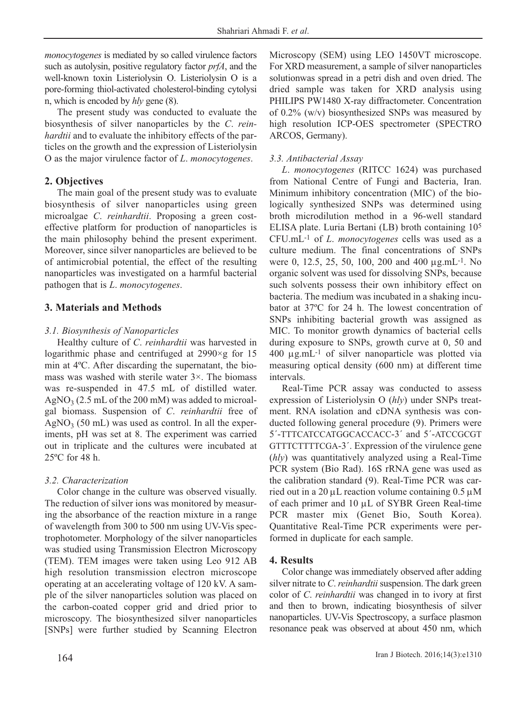*monocytogenes* is mediated by so called virulence factors such as autolysin, positive regulatory factor *prfA*, and the well-known toxin Listeriolysin O. Listeriolysin O is a pore-forming thiol-activated cholesterol-binding cytolysi n, which is encoded by *hly* gene (8).

The present study was conducted to evaluate the biosynthesis of silver nanoparticles by the *C*. *reinhardtii* and to evaluate the inhibitory effects of the particles on the growth and the expression of Listeriolysin O as the major virulence factor of *L*. *monocytogenes*.

# **2. Objectives**

The main goal of the present study was to evaluate biosynthesis of silver nanoparticles using green microalgae *C*. *reinhardtii*. Proposing a green costeffective platform for production of nanoparticles is the main philosophy behind the present experiment. Moreover, since silver nanoparticles are believed to be of antimicrobial potential, the effect of the resulting nanoparticles was investigated on a harmful bacterial pathogen that is *L*. *monocytogenes*.

# **3. Materials and Methods**

### *3.1. Biosynthesis of Nanoparticles*

Healthy culture of *C*. *reinhardtii* was harvested in logarithmic phase and centrifuged at  $2990 \times g$  for 15 min at 4ºC. After discarding the supernatant, the biomass was washed with sterile water 3×. The biomass was re-suspended in 47.5 mL of distilled water.  $AgNO<sub>3</sub>$  (2.5 mL of the 200 mM) was added to microalgal biomass. Suspension of *C*. *reinhardtii* free of  $AgNO<sub>3</sub>$  (50 mL) was used as control. In all the experiments, pH was set at 8. The experiment was carried out in triplicate and the cultures were incubated at 25ºC for 48 h.

# *3.2. Characterization*

Color change in the culture was observed visually. The reduction of silver ions was monitored by measuring the absorbance of the reaction mixture in a range of wavelength from 300 to 500 nm using UV-Vis spectrophotometer. Morphology of the silver nanoparticles was studied using Transmission Electron Microscopy (TEM). TEM images were taken using Leo 912 AB high resolution transmission electron microscope operating at an accelerating voltage of 120 kV. A sample of the silver nanoparticles solution was placed on the carbon-coated copper grid and dried prior to microscopy. The biosynthesized silver nanoparticles [SNPs] were further studied by Scanning Electron Microscopy (SEM) using LEO 1450VT microscope. For XRD measurement, a sample of silver nanoparticles solutionwas spread in a petri dish and oven dried. The dried sample was taken for XRD analysis using PHILIPS PW1480 X-ray diffractometer. Concentration of 0.2% (w/v) biosynthesized SNPs was measured by high resolution ICP-OES spectrometer (SPECTRO ARCOS, Germany).

# *3.3. Antibacterial Assay*

*L*. *monocytogenes* (RITCC 1624) was purchased from National Centre of Fungi and Bacteria, Iran. Minimum inhibitory concentration (MIC) of the biologically synthesized SNPs was determined using broth microdilution method in a 96-well standard ELISA plate. Luria Bertani (LB) broth containing 105 CFU.mL-1 of *L*. *monocytogenes* cells was used as a culture medium. The final concentrations of SNPs were 0, 12.5, 25, 50, 100, 200 and 400 μg.mL-1. No organic solvent was used for dissolving SNPs, because such solvents possess their own inhibitory effect on bacteria. The medium was incubated in a shaking incubator at 37ºC for 24 h. The lowest concentration of SNPs inhibiting bacterial growth was assigned as MIC. To monitor growth dynamics of bacterial cells during exposure to SNPs, growth curve at 0, 50 and 400 μg.mL-1 of silver nanoparticle was plotted via measuring optical density (600 nm) at different time intervals.

Real-Time PCR assay was conducted to assess expression of Listeriolysin O (*hly*) under SNPs treatment. RNA isolation and cDNA synthesis was conducted following general procedure (9). Primers were 5´-TTTCATCCATGGCACCACC-3´ and 5´-ATCCGCGT GTTTCTTTTCGA-3´. Expression of the virulence gene (*hly*) was quantitatively analyzed using a Real-Time PCR system (Bio Rad). 16S rRNA gene was used as the calibration standard (9). Real-Time PCR was carried out in a 20 μL reaction volume containing 0.5 μM of each primer and 10 μL of SYBR Green Real-time PCR master mix (Genet Bio, South Korea). Quantitative Real-Time PCR experiments were performed in duplicate for each sample.

# **4. Results**

Color change was immediately observed after adding silver nitrate to *C*.*reinhardtii* suspension. The dark green color of *C*. *reinhardtii* was changed in to ivory at first and then to brown, indicating biosynthesis of silver nanoparticles. UV-Vis Spectroscopy, a surface plasmon resonance peak was observed at about 450 nm, which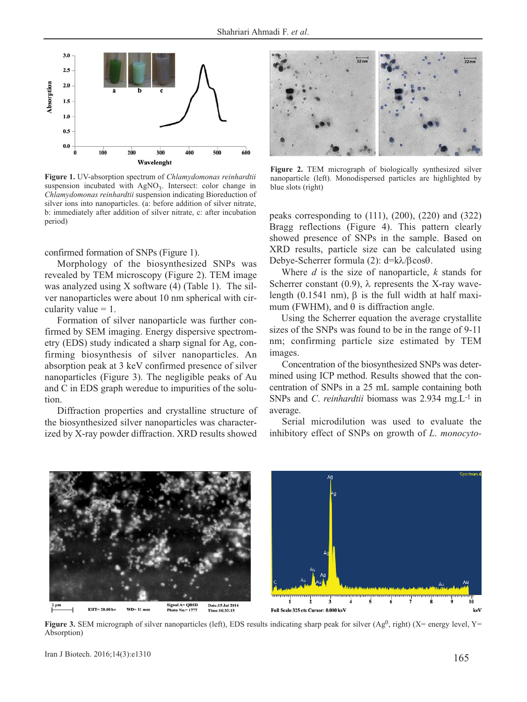

**Figure 1.** UV-absorption spectrum of *Chlamydomonas reinhardtii* suspension incubated with  $AgNO<sub>3</sub>$ . Intersect: color change in *Chlamydomonas reinhardtii* suspension indicating Bioreduction of silver ions into nanoparticles. (a: before addition of silver nitrate, b: immediately after addition of silver nitrate, c: after incubation period)

confirmed formation of SNPs (Figure 1).

Morphology of the biosynthesized SNPs was revealed by TEM microscopy (Figure 2). TEM image was analyzed using X software (4) (Table 1). The silver nanoparticles were about 10 nm spherical with circularity value  $= 1$ .

Formation of silver nanoparticle was further confirmed by SEM imaging. Energy dispersive spectrometry (EDS) study indicated a sharp signal for Ag, confirming biosynthesis of silver nanoparticles. An absorption peak at 3 keV confirmed presence of silver nanoparticles (Figure 3). The negligible peaks of Au and C in EDS graph weredue to impurities of the solution.

Diffraction properties and crystalline structure of the biosynthesized silver nanoparticles was characterized by X-ray powder diffraction. XRD results showed



**Figure 2.** TEM micrograph of biologically synthesized silver nanoparticle (left). Monodispersed particles are highlighted by blue slots (right)

peaks corresponding to (111), (200), (220) and (322) Bragg reflections (Figure 4). This pattern clearly showed presence of SNPs in the sample. Based on XRD results, particle size can be calculated using Debye-Scherrer formula (2): d=kλ/βcosθ.

Where *d* is the size of nanoparticle, *k* stands for Scherrer constant (0.9),  $\lambda$  represents the X-ray wavelength (0.1541 nm), β is the full width at half maximum (FWHM), and  $\theta$  is diffraction angle.

Using the Scherrer equation the average crystallite sizes of the SNPs was found to be in the range of 9-11 nm; confirming particle size estimated by TEM images.

Concentration of the biosynthesized SNPs was determined using ICP method. Results showed that the concentration of SNPs in a 25 mL sample containing both SNPs and *C*. *reinhardtii* biomass was 2.934 mg.L-1 in average.

Serial microdilution was used to evaluate the inhibitory effect of SNPs on growth of *L*. *monocyto-*



**Figure 3.** SEM micrograph of silver nanoparticles (left), EDS results indicating sharp peak for silver (Ag<sup>0</sup>, right) (X= energy level, Y= Absorption)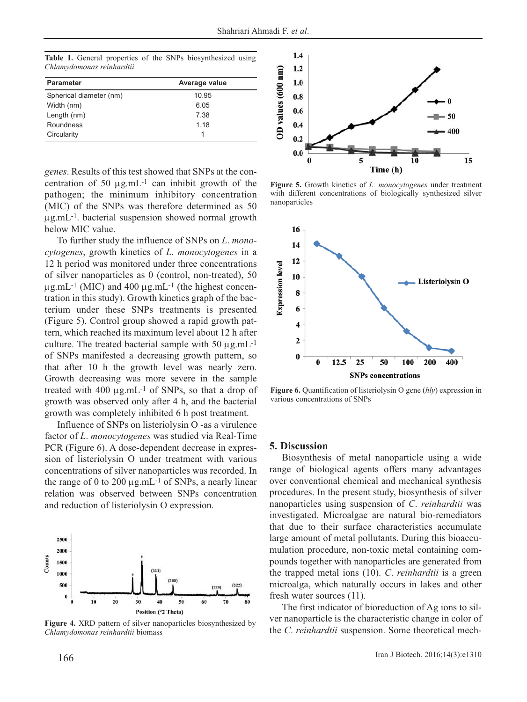**Table 1.** General properties of the SNPs biosynthesized using *Chlamydomonas reinhardtii*

| <b>Parameter</b>        | Average value |
|-------------------------|---------------|
| Spherical diameter (nm) | 10.95         |
| Width (nm)              | 6.05          |
| Length (nm)             | 7.38          |
| Roundness               | 1.18          |
| Circularity             |               |

*genes*. Results of this test showed that SNPs at the concentration of 50  $\mu$ g.mL<sup>-1</sup> can inhibit growth of the pathogen; the minimum inhibitory concentration (MIC) of the SNPs was therefore determined as 50 μg.mL-1. bacterial suspension showed normal growth below MIC value.

To further study the influence of SNPs on *L*. *monocytogenes*, growth kinetics of *L*. *monocytogenes* in a 12 h period was monitored under three concentrations of silver nanoparticles as 0 (control, non-treated), 50  $\mu$ g.mL<sup>-1</sup> (MIC) and 400  $\mu$ g.mL<sup>-1</sup> (the highest concentration in this study). Growth kinetics graph of the bacterium under these SNPs treatments is presented (Figure 5). Control group showed a rapid growth pattern, which reached its maximum level about 12 h after culture. The treated bacterial sample with  $50 \mu g.mL^{-1}$ of SNPs manifested a decreasing growth pattern, so that after 10 h the growth level was nearly zero. Growth decreasing was more severe in the sample treated with 400 μg.mL-1 of SNPs, so that a drop of growth was observed only after 4 h, and the bacterial growth was completely inhibited 6 h post treatment.

Influence of SNPs on listeriolysin O -as a virulence factor of *L*. *monocytogenes* was studied via Real-Time PCR (Figure 6). A dose-dependent decrease in expression of listeriolysin O under treatment with various concentrations of silver nanoparticles was recorded. In the range of 0 to 200  $\mu$ g.mL<sup>-1</sup> of SNPs, a nearly linear relation was observed between SNPs concentration and reduction of listeriolysin O expression.



**Figure 4.** XRD pattern of silver nanoparticles biosynthesized by *Chlamydomonas reinhardtii* biomass



**Figure 5.** Growth kinetics of *L. monocytogenes* under treatment with different concentrations of biologically synthesized silver nanoparticles



**Figure 6.** Quantification of listeriolysin O gene (*hly*) expression in various concentrations of SNPs

#### **5. Discussion**

Biosynthesis of metal nanoparticle using a wide range of biological agents offers many advantages over conventional chemical and mechanical synthesis procedures. In the present study, biosynthesis of silver nanoparticles using suspension of *C*. *reinhardtii* was investigated. Microalgae are natural bio-remediators that due to their surface characteristics accumulate large amount of metal pollutants. During this bioaccumulation procedure, non-toxic metal containing compounds together with nanoparticles are generated from the trapped metal ions (10). *C*. *reinhardtii* is a green microalga, which naturally occurs in lakes and other fresh water sources (11).

The first indicator of bioreduction of Ag ions to silver nanoparticle is the characteristic change in color of the *C*. *reinhardtii* suspension. Some theoretical mech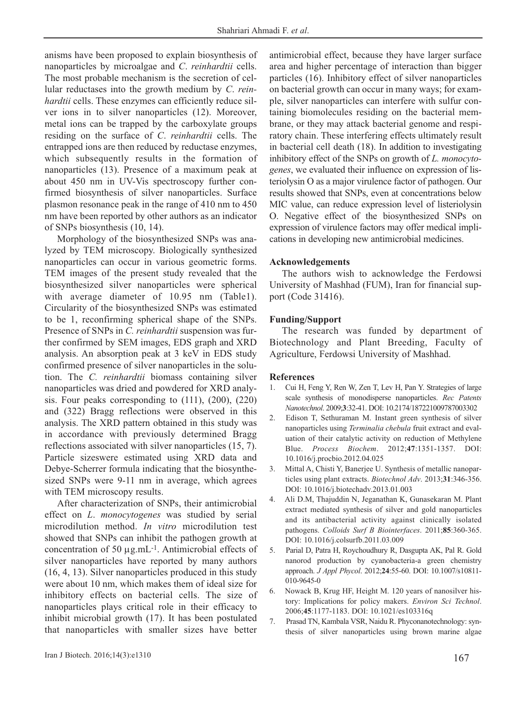anisms have been proposed to explain biosynthesis of nanoparticles by microalgae and *C*. *reinhardtii* cells. The most probable mechanism is the secretion of cellular reductases into the growth medium by *C*. *reinhardtii* cells. These enzymes can efficiently reduce silver ions in to silver nanoparticles (12). Moreover, metal ions can be trapped by the carboxylate groups residing on the surface of *C*. *reinhardtii* cells. The entrapped ions are then reduced by reductase enzymes, which subsequently results in the formation of nanoparticles (13). Presence of a maximum peak at about 450 nm in UV-Vis spectroscopy further confirmed biosynthesis of silver nanoparticles. Surface plasmon resonance peak in the range of 410 nm to 450 nm have been reported by other authors as an indicator of SNPs biosynthesis (10, 14).

Morphology of the biosynthesized SNPs was analyzed by TEM microscopy. Biologically synthesized nanoparticles can occur in various geometric forms. TEM images of the present study revealed that the biosynthesized silver nanoparticles were spherical with average diameter of 10.95 nm (Table1). Circularity of the biosynthesized SNPs was estimated to be 1, reconfirming spherical shape of the SNPs. Presence of SNPs in *C. reinhardtii* suspension was further confirmed by SEM images, EDS graph and XRD analysis. An absorption peak at 3 keV in EDS study confirmed presence of silver nanoparticles in the solution. The *C. reinhardtii* biomass containing silver nanoparticles was dried and powdered for XRD analysis. Four peaks corresponding to (111), (200), (220) and (322) Bragg reflections were observed in this analysis. The XRD pattern obtained in this study was in accordance with previously determined Bragg reflections associated with silver nanoparticles (15, 7). Particle sizeswere estimated using XRD data and Debye-Scherrer formula indicating that the biosynthesized SNPs were 9-11 nm in average, which agrees with TEM microscopy results.

After characterization of SNPs, their antimicrobial effect on *L*. *monocytogenes* was studied by serial microdilution method. *In vitro* microdilution test showed that SNPs can inhibit the pathogen growth at concentration of 50 μg.mL-1. Antimicrobial effects of silver nanoparticles have reported by many authors (16, 4, 13). Silver nanoparticles produced in this study were about 10 nm, which makes them of ideal size for inhibitory effects on bacterial cells. The size of nanoparticles plays critical role in their efficacy to inhibit microbial growth (17). It has been postulated that nanoparticles with smaller sizes have better area and higher percentage of interaction than bigger particles (16). Inhibitory effect of silver nanoparticles on bacterial growth can occur in many ways; for example, silver nanoparticles can interfere with sulfur containing biomolecules residing on the bacterial membrane, or they may attack bacterial genome and respiratory chain. These interfering effects ultimately result in bacterial cell death (18). In addition to investigating inhibitory effect of the SNPs on growth of *L. monocytogenes*, we evaluated their influence on expression of listeriolysin O as a major virulence factor of pathogen. Our results showed that SNPs, even at concentrations below MIC value, can reduce expression level of listeriolysin O. Negative effect of the biosynthesized SNPs on expression of virulence factors may offer medical implications in developing new antimicrobial medicines.

antimicrobial effect, because they have larger surface

### **Acknowledgements**

The authors wish to acknowledge the Ferdowsi University of Mashhad (FUM), Iran for financial support (Code 31416).

#### **Funding/Support**

The research was funded by department of Biotechnology and Plant Breeding, Faculty of Agriculture, Ferdowsi University of Mashhad.

#### **References**

- 1. Cui H, Feng Y, Ren W, Zen T, Lev H, Pan Y. Strategies of large scale synthesis of monodisperse nanoparticles. *Rec Patents Nanotechnol*. 2009;**3**:32-41. DOI: 10.2174/187221009787003302
- 2. Edison T, Sethuraman M. Instant green synthesis of silver nanoparticles using *Terminalia chebula* fruit extract and evaluation of their catalytic activity on reduction of Methylene Blue. *Process Biochem*. 2012;**47**:1351-1357. DOI: 10.1016/j.procbio.2012.04.025
- 3. Mittal A, Chisti Y, Banerjee U. Synthesis of metallic nanoparticles using plant extracts. *Biotechnol Adv*. 2013;**31**:346-356. DOI: 10.1016/j.biotechadv.2013.01.003
- 4. Ali D.M, Thajuddin N, Jeganathan K, Gunasekaran M. Plant extract mediated synthesis of silver and gold nanoparticles and its antibacterial activity against clinically isolated pathogens. *Colloids Surf B Biointerfaces*. 2011;**85**:360-365. DOI: 10.1016/j.colsurfb.2011.03.009
- 5. Parial D, Patra H, Roychoudhury R, Dasgupta AK, Pal R. Gold nanorod production by cyanobacteria-a green chemistry approach. *J Appl Phycol*. 2012;**24**:55-60. DOI: 10.1007/s10811- 010-9645-0
- 6. Nowack B, Krug HF, Height M. 120 years of nanosilver history: Implications for policy makers. *Environ Sci Technol*. 2006;**45**:1177-1183. DOI: 10.1021/es103316q
- 7. Prasad TN, Kambala VSR, Naidu R. Phyconanotechnology: synthesis of silver nanoparticles using brown marine algae